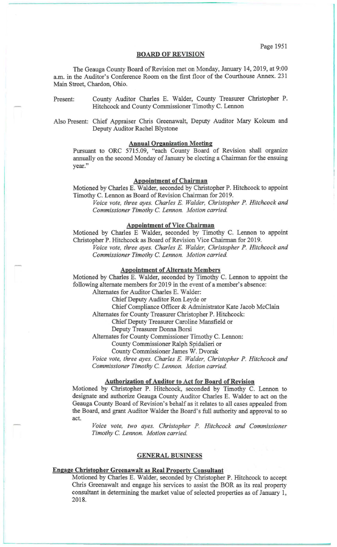#### **BOARD OF REVISION**

The Geauga County Board of Revision met on Monday, January 14,2019, at 9:00 a.m. in the Auditor's Conference Room on the first floor of the Courthouse Annex. 231 Main Street, Chardon, Ohio.

Present: County Auditor Charles E. Walder, County Treasurer Christopher P. Hitchcock and County Commissioner Timothy C. Lennon

Also Present: Chief Appraiser Chris Greenawalt, Deputy Auditor Mary Kolcum and Deputy Auditor Rachel Blystone

# **Annual Organization Meeting**

Pursuant to ORC 5715.09, "each County Board of Revision shall organize annually on the second Monday of January be electing a Chairman for the ensuing year."

### **Appointment of Chairman**

Motioned by Charles E. Walder, seconded by Christopher P. Hitchcock to appoint Timothy C. Lennon as Board of Revision Chairman for 2019.

*Voice vote, three ayes. Charles* E. *Walder, Christopher P. Hitchcock and Commissioner Timothy* C. *Lennon. Motion carried.* 

## **Appointment of Vice Chairman**

Motioned by Charles E Walder, seconded by Timothy C. Lennon to appoint Christopher P. Hitchcock as Board of Revision Vice Chairman for 2019.

*Voice vote, three ayes. Charles* E. *Walder, Christopher P. Hitchcock and Commissioner Timothy* C. *Lennon. Motion carried.* 

## **Appointment of Alternate Members**

Motioned by Charles E. Walder, seconded by Timothy C. Lennon to appoint the following alternate members for 2019 in the event of a member's absence:

Alternates for Auditor Charles E. Walder:

Chief Deputy Auditor Ron Leyde or

Chief Compliance Officer & Administrator Kate Jacob McClain

Alternates for County Treasurer Christopher P. Hitchcock:

Chief Deputy Treasurer Caroline Mansfield or

Deputy Treasurer Donna Borsi

Alternates for County Commissioner Timothy C. Lennon:

County Commissioner Ralph Spidalieri or

County Commissioner James W. Dvorak

*Voice vote, three ayes. Charles* E. *Walder, Christopher P. Hitchcock and Commissioner Timothy* C. *Lennon. Motion carried.* 

## **Authorization of Auditor to Act for Board of Revision**

Motioned by Christopher P. Hitchcock, seconded by Timothy C. Lennon to designate and authorize Geauga County Auditor Charles E. Walder to act on the Geauga County Board of Revision's behalf as it relates to all cases appealed from the Board, and grant Auditor Walder the Board's full authority and approval to so act.

*Voice vote, two ayes. Christopher P. Hitchcock and Commissioner Timothy* C. *Lennon. Motion carried.* 

### **GENERAL BUSINESS**

# **Engage Christopher Greenawalt as Real Property Consultant**

Motioned by Charles E. Walder, seconded by Christopher P. Hitchcock to accept Chris Greenawalt and engage his services to assist the BOR as its real property consultant in determining the market value of selected properties as of January 1, 2018.